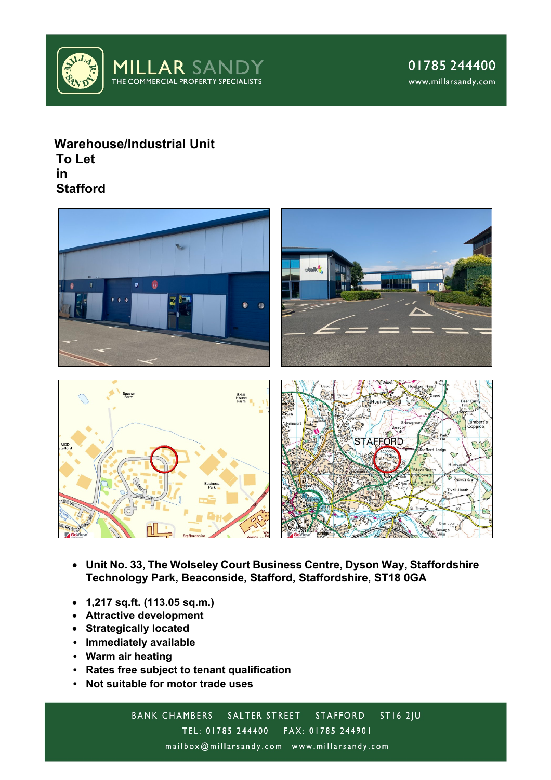

# **Warehouse/Industrial Unit To Let in Stafford**



- **Unit No. 33, The Wolseley Court Business Centre, Dyson Way, Staffordshire Technology Park, Beaconside, Stafford, Staffordshire, ST18 0GA**
- **1,217 sq.ft. (113.05 sq.m.)**
- **Attractive development**
- **Strategically located**
- **Immediately available**
- **Warm air heating**
- **Rates free subject to tenant qualification**
- **Not suitable for motor trade uses**

 $STI62|U$ **BANK CHAMBERS** SALTER STREET **STAFFORD** TEL: 01785 244400 FAX: 01785 244901 mailbox@millarsandy.com www.millarsandy.com